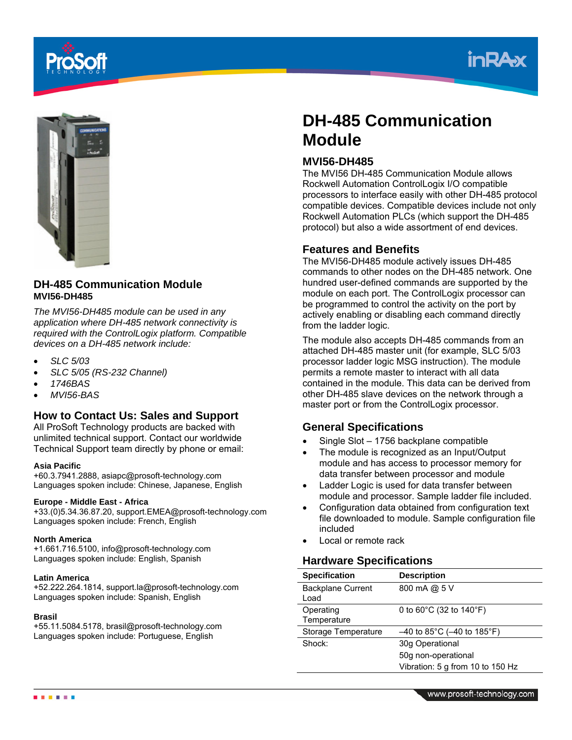





## **DH-485 Communication Module MVI56-DH485**

*The MVI56-DH485 module can be used in any application where DH-485 network connectivity is required with the ControlLogix platform. Compatible devices on a DH-485 network include:* 

- *SLC 5/03*
- *SLC 5/05 (RS-232 Channel)*
- *1746BAS*
- *MVI56-BAS*

## **How to Contact Us: Sales and Support**

All ProSoft Technology products are backed with unlimited technical support. Contact our worldwide Technical Support team directly by phone or email:

#### **Asia Pacific**

+60.3.7941.2888, asiapc@prosoft-technology.com Languages spoken include: Chinese, Japanese, English

#### **Europe - Middle East - Africa**

+33.(0)5.34.36.87.20, support.EMEA@prosoft-technology.com Languages spoken include: French, English

#### **North America**

+1.661.716.5100, info@prosoft-technology.com Languages spoken include: English, Spanish

#### **Latin America**

+52.222.264.1814, support.la@prosoft-technology.com Languages spoken include: Spanish, English

#### **Brasil**

+55.11.5084.5178, brasil@prosoft-technology.com Languages spoken include: Portuguese, English

# **DH-485 Communication Module**

## **MVI56-DH485**

The MVI56 DH-485 Communication Module allows Rockwell Automation ControlLogix I/O compatible processors to interface easily with other DH-485 protocol compatible devices. Compatible devices include not only Rockwell Automation PLCs (which support the DH-485 protocol) but also a wide assortment of end devices.

#### **Features and Benefits**

The MVI56-DH485 module actively issues DH-485 commands to other nodes on the DH-485 network. One hundred user-defined commands are supported by the module on each port. The ControlLogix processor can be programmed to control the activity on the port by actively enabling or disabling each command directly from the ladder logic.

The module also accepts DH-485 commands from an attached DH-485 master unit (for example, SLC 5/03 processor ladder logic MSG instruction). The module permits a remote master to interact with all data contained in the module. This data can be derived from other DH-485 slave devices on the network through a master port or from the ControlLogix processor.

## **General Specifications**

- Single Slot 1756 backplane compatible
- The module is recognized as an Input/Output module and has access to processor memory for data transfer between processor and module
- Ladder Logic is used for data transfer between module and processor. Sample ladder file included.
- Configuration data obtained from configuration text file downloaded to module. Sample configuration file included
- Local or remote rack

### **Hardware Specifications**

| <b>Specification</b>             | <b>Description</b>                           |
|----------------------------------|----------------------------------------------|
| <b>Backplane Current</b><br>Load | 800 mA @ 5 V                                 |
| Operating<br>Temperature         | 0 to $60^{\circ}$ C (32 to 140 $^{\circ}$ F) |
| Storage Temperature              | $-40$ to 85°C (-40 to 185°F)                 |
| Shock:                           | 30g Operational                              |
|                                  | 50g non-operational                          |
|                                  | Vibration: 5 g from 10 to 150 Hz             |